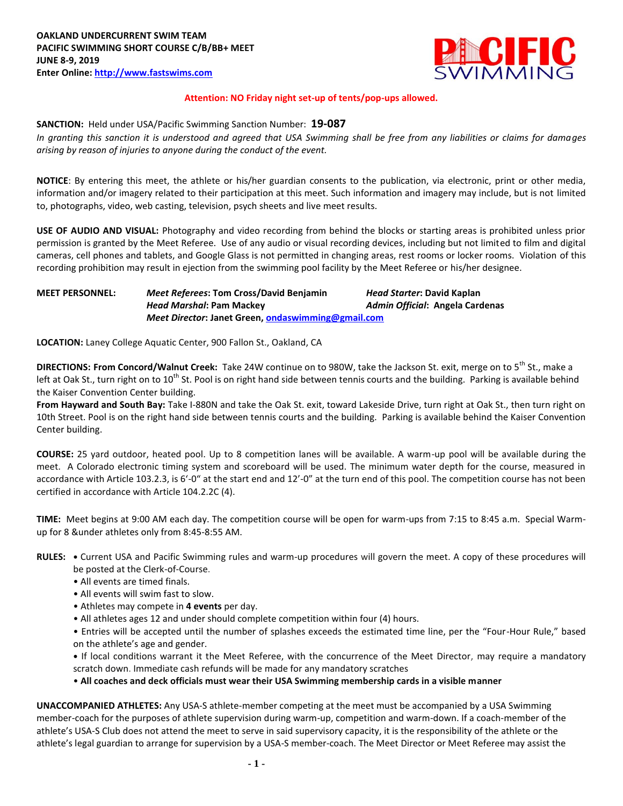

#### **Attention: NO Friday night set-up of tents/pop-ups allowed.**

**SANCTION:** Held under USA/Pacific Swimming Sanction Number: **19-087**

*In granting this sanction it is understood and agreed that USA Swimming shall be free from any liabilities or claims for damages arising by reason of injuries to anyone during the conduct of the event.*

**NOTICE**: By entering this meet, the athlete or his/her guardian consents to the publication, via electronic, print or other media, information and/or imagery related to their participation at this meet. Such information and imagery may include, but is not limited to, photographs, video, web casting, television, psych sheets and live meet results.

**USE OF AUDIO AND VISUAL:** Photography and video recording from behind the blocks or starting areas is prohibited unless prior permission is granted by the Meet Referee. Use of any audio or visual recording devices, including but not limited to film and digital cameras, cell phones and tablets, and Google Glass is not permitted in changing areas, rest rooms or locker rooms. Violation of this recording prohibition may result in ejection from the swimming pool facility by the Meet Referee or his/her designee.

**MEET PERSONNEL:** *Meet Referees***: Tom Cross/David Benjamin** *Head Starter***: David Kaplan** *Head Marshal***: Pam Mackey** *Admin Official***: Angela Cardenas** *Meet Director***: Janet Green[, ondaswimming@gmail.com](mailto:ondaswimming@gmail.com)**

**LOCATION:** Laney College Aquatic Center, 900 Fallon St., Oakland, CA

**DIRECTIONS: From Concord/Walnut Creek:** Take 24W continue on to 980W, take the Jackson St. exit, merge on to 5<sup>th</sup> St., make a left at Oak St., turn right on to 10<sup>th</sup> St. Pool is on right hand side between tennis courts and the building. Parking is available behind the Kaiser Convention Center building.

**From Hayward and South Bay:** Take I-880N and take the Oak St. exit, toward Lakeside Drive, turn right at Oak St., then turn right on 10th Street. Pool is on the right hand side between tennis courts and the building. Parking is available behind the Kaiser Convention Center building.

**COURSE:** 25 yard outdoor, heated pool. Up to 8 competition lanes will be available. A warm-up pool will be available during the meet. A Colorado electronic timing system and scoreboard will be used. The minimum water depth for the course, measured in accordance with Article 103.2.3, is 6'-0" at the start end and 12'-0" at the turn end of this pool. The competition course has not been certified in accordance with Article 104.2.2C (4).

**TIME:** Meet begins at 9:00 AM each day. The competition course will be open for warm-ups from 7:15 to 8:45 a.m. Special Warmup for 8 &under athletes only from 8:45-8:55 AM.

- **RULES:** Current USA and Pacific Swimming rules and warm-up procedures will govern the meet. A copy of these procedures will be posted at the Clerk-of-Course.
	- All events are timed finals.
	- All events will swim fast to slow.
	- Athletes may compete in **4 events** per day.
	- All athletes ages 12 and under should complete competition within four (4) hours.
	- Entries will be accepted until the number of splashes exceeds the estimated time line, per the "Four-Hour Rule," based on the athlete's age and gender.

**•** If local conditions warrant it the Meet Referee, with the concurrence of the Meet Director, may require a mandatory scratch down. Immediate cash refunds will be made for any mandatory scratches

• **All coaches and deck officials must wear their USA Swimming membership cards in a visible manner**

**UNACCOMPANIED ATHLETES:** Any USA-S athlete-member competing at the meet must be accompanied by a USA Swimming member-coach for the purposes of athlete supervision during warm-up, competition and warm-down. If a coach-member of the athlete's USA-S Club does not attend the meet to serve in said supervisory capacity, it is the responsibility of the athlete or the athlete's legal guardian to arrange for supervision by a USA-S member-coach. The Meet Director or Meet Referee may assist the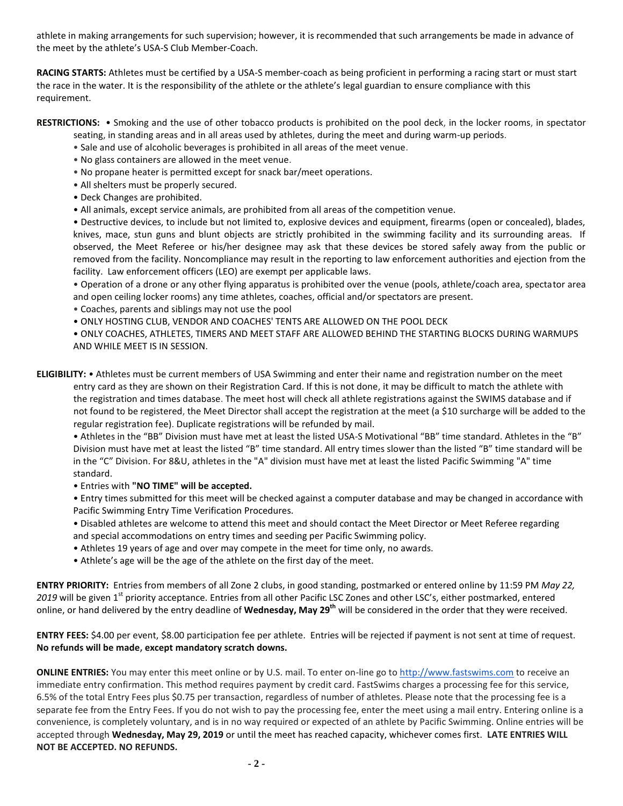athlete in making arrangements for such supervision; however, it is recommended that such arrangements be made in advance of the meet by the athlete's USA-S Club Member-Coach.

**RACING STARTS:** Athletes must be certified by a USA-S member-coach as being proficient in performing a racing start or must start the race in the water. It is the responsibility of the athlete or the athlete's legal guardian to ensure compliance with this requirement.

- **RESTRICTIONS:** Smoking and the use of other tobacco products is prohibited on the pool deck, in the locker rooms, in spectator seating, in standing areas and in all areas used by athletes, during the meet and during warm-up periods.
	- Sale and use of alcoholic beverages is prohibited in all areas of the meet venue.
	- No glass containers are allowed in the meet venue.
	- No propane heater is permitted except for snack bar/meet operations.
	- All shelters must be properly secured.
	- Deck Changes are prohibited.
	- All animals, except service animals, are prohibited from all areas of the competition venue.

• Destructive devices, to include but not limited to, explosive devices and equipment, firearms (open or concealed), blades, knives, mace, stun guns and blunt objects are strictly prohibited in the swimming facility and its surrounding areas. If observed, the Meet Referee or his/her designee may ask that these devices be stored safely away from the public or removed from the facility. Noncompliance may result in the reporting to law enforcement authorities and ejection from the facility. Law enforcement officers (LEO) are exempt per applicable laws.

• Operation of a drone or any other flying apparatus is prohibited over the venue (pools, athlete/coach area, spectator area and open ceiling locker rooms) any time athletes, coaches, official and/or spectators are present.

- Coaches, parents and siblings may not use the pool
- ONLY HOSTING CLUB, VENDOR AND COACHES' TENTS ARE ALLOWED ON THE POOL DECK

• ONLY COACHES, ATHLETES, TIMERS AND MEET STAFF ARE ALLOWED BEHIND THE STARTING BLOCKS DURING WARMUPS AND WHILE MEET IS IN SESSION.

**ELIGIBILITY:** • Athletes must be current members of USA Swimming and enter their name and registration number on the meet entry card as they are shown on their Registration Card. If this is not done, it may be difficult to match the athlete with the registration and times database. The meet host will check all athlete registrations against the SWIMS database and if not found to be registered, the Meet Director shall accept the registration at the meet (a \$10 surcharge will be added to the regular registration fee). Duplicate registrations will be refunded by mail.

• Athletes in the "BB" Division must have met at least the listed USA-S Motivational "BB" time standard. Athletes in the "B" Division must have met at least the listed "B" time standard. All entry times slower than the listed "B" time standard will be in the "C" Division. For 8&U, athletes in the "A" division must have met at least the listed Pacific Swimming "A" time standard.

• Entries with **"NO TIME" will be accepted.**

• Entry times submitted for this meet will be checked against a computer database and may be changed in accordance with Pacific Swimming Entry Time Verification Procedures.

- Disabled athletes are welcome to attend this meet and should contact the Meet Director or Meet Referee regarding and special accommodations on entry times and seeding per Pacific Swimming policy.
- Athletes 19 years of age and over may compete in the meet for time only, no awards.
- Athlete's age will be the age of the athlete on the first day of the meet.

**ENTRY PRIORITY:** Entries from members of all Zone 2 clubs, in good standing, postmarked or entered online by 11:59 PM *May 22,*  2019 will be given 1<sup>st</sup> priority acceptance. Entries from all other Pacific LSC Zones and other LSC's, either postmarked, entered online, or hand delivered by the entry deadline of **Wednesday, May 29th** will be considered in the order that they were received.

**ENTRY FEES:** \$4.00 per event, \$8.00 participation fee per athlete. Entries will be rejected if payment is not sent at time of request. **No refunds will be made, except mandatory scratch downs.**

**ONLINE ENTRIES:** You may enter this meet online or by U.S. mail. To enter on-line go to [http://www.fastswims.com](http://www.fastswims.com/) to receive an immediate entry confirmation. This method requires payment by credit card. FastSwims charges a processing fee for this service, 6.5% of the total Entry Fees plus \$0.75 per transaction, regardless of number of athletes. Please note that the processing fee is a separate fee from the Entry Fees. If you do not wish to pay the processing fee, enter the meet using a mail entry. Entering online is a convenience, is completely voluntary, and is in no way required or expected of an athlete by Pacific Swimming. Online entries will be accepted through **Wednesday, May 29, 2019** or until the meet has reached capacity, whichever comes first. **LATE ENTRIES WILL NOT BE ACCEPTED. NO REFUNDS.**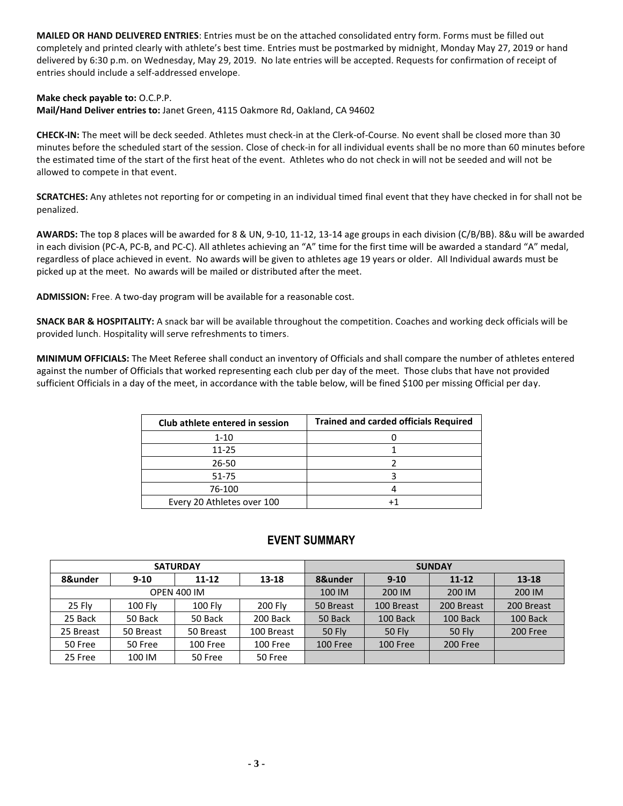**MAILED OR HAND DELIVERED ENTRIES**: Entries must be on the attached consolidated entry form. Forms must be filled out completely and printed clearly with athlete's best time. Entries must be postmarked by midnight, Monday May 27, 2019 or hand delivered by 6:30 p.m. on Wednesday, May 29, 2019. No late entries will be accepted. Requests for confirmation of receipt of entries should include a self-addressed envelope.

### **Make check payable to:** O.C.P.P.

**Mail/Hand Deliver entries to:** Janet Green, 4115 Oakmore Rd, Oakland, CA 94602

**CHECK-IN:** The meet will be deck seeded. Athletes must check-in at the Clerk-of-Course. No event shall be closed more than 30 minutes before the scheduled start of the session. Close of check-in for all individual events shall be no more than 60 minutes before the estimated time of the start of the first heat of the event. Athletes who do not check in will not be seeded and will not be allowed to compete in that event.

**SCRATCHES:** Any athletes not reporting for or competing in an individual timed final event that they have checked in for shall not be penalized.

**AWARDS:** The top 8 places will be awarded for 8 & UN, 9-10, 11-12, 13-14 age groups in each division (C/B/BB). 8&u will be awarded in each division (PC-A, PC-B, and PC-C). All athletes achieving an "A" time for the first time will be awarded a standard "A" medal, regardless of place achieved in event. No awards will be given to athletes age 19 years or older. All Individual awards must be picked up at the meet. No awards will be mailed or distributed after the meet.

**ADMISSION:** Free. A two-day program will be available for a reasonable cost.

**SNACK BAR & HOSPITALITY:** A snack bar will be available throughout the competition. Coaches and working deck officials will be provided lunch. Hospitality will serve refreshments to timers.

**MINIMUM OFFICIALS:** The Meet Referee shall conduct an inventory of Officials and shall compare the number of athletes entered against the number of Officials that worked representing each club per day of the meet. Those clubs that have not provided sufficient Officials in a day of the meet, in accordance with the table below, will be fined \$100 per missing Official per day.

| Club athlete entered in session | <b>Trained and carded officials Required</b> |
|---------------------------------|----------------------------------------------|
| $1 - 10$                        |                                              |
| $11 - 25$                       |                                              |
| 26-50                           |                                              |
| 51-75                           |                                              |
| 76-100                          |                                              |
| Every 20 Athletes over 100      |                                              |

### **EVENT SUMMARY**

|                    |                | <b>SATURDAY</b>                  |            | <b>SUNDAY</b> |               |               |            |  |  |  |
|--------------------|----------------|----------------------------------|------------|---------------|---------------|---------------|------------|--|--|--|
| 8&under            | $9 - 10$       | $13 - 18$<br>$11 - 12$           |            | 8&under       | $9 - 10$      | $11 - 12$     | $13 - 18$  |  |  |  |
| <b>OPEN 400 IM</b> |                |                                  |            | 100 IM        | 200 IM        | 200 IM        | 200 IM     |  |  |  |
| <b>25 Flv</b>      | <b>100 Flv</b> | <b>200 Flv</b><br><b>100 Flv</b> |            | 50 Breast     | 100 Breast    | 200 Breast    | 200 Breast |  |  |  |
| 25 Back            | 50 Back        | 50 Back                          | 200 Back   | 50 Back       | 100 Back      | 100 Back      | 100 Back   |  |  |  |
| 25 Breast          | 50 Breast      | 50 Breast                        | 100 Breast | <b>50 Fly</b> | <b>50 Fly</b> | <b>50 Flv</b> | 200 Free   |  |  |  |
| 50 Free            | 50 Free        | 100 Free                         | 100 Free   | 100 Free      | 100 Free      | 200 Free      |            |  |  |  |
| 25 Free            | 100 IM         | 50 Free                          | 50 Free    |               |               |               |            |  |  |  |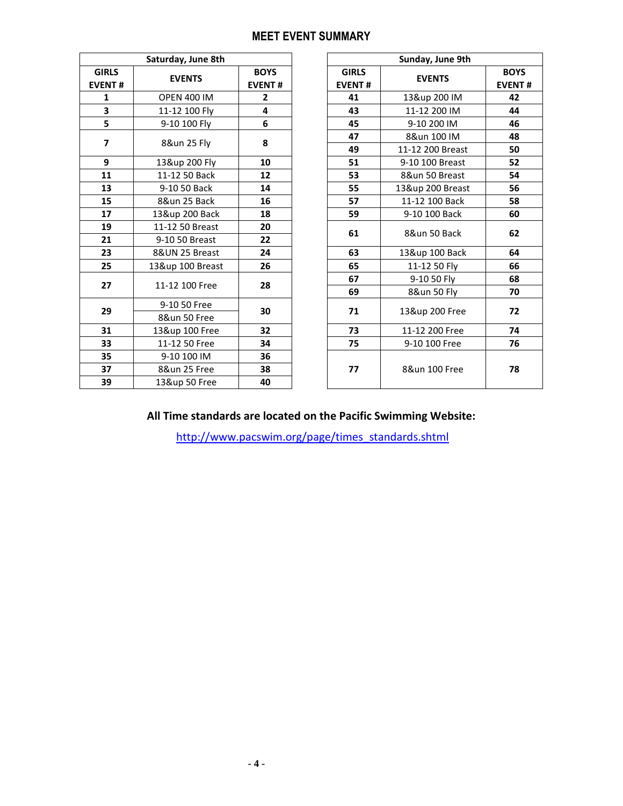# **MEET EVENT SUMMARY**

|                               | Saturday, June 8th |                              | Sunday, June 9th              |                                 |
|-------------------------------|--------------------|------------------------------|-------------------------------|---------------------------------|
| <b>GIRLS</b><br><b>EVENT#</b> | <b>EVENTS</b>      | <b>BOYS</b><br><b>EVENT#</b> | <b>GIRLS</b><br><b>EVENT#</b> | <b>EVENTS</b>                   |
| 1                             | <b>OPEN 400 IM</b> | $\mathbf{2}$                 | 41                            | 13&up 200 IM                    |
| 3                             | 11-12 100 Fly      | 4                            | 43                            | 11-12 200 IM                    |
| 5                             | 9-10 100 Fly       | 6                            | 45                            | 9-10 200 IM                     |
| 7                             | 8&un 25 Fly        | 8                            | 47<br>49                      | 8&un 100 IM<br>11-12 200 Breast |
| 9                             | 13&up 200 Fly      | 10                           | 51                            | 9-10 100 Breast                 |
| 11                            | 11-12 50 Back      | 12                           | 53                            | 8&un 50 Breast                  |
| 13                            | 9-10 50 Back       | 14                           | 55                            | 13&up 200 Breast                |
| 15                            | 8&un 25 Back       | 16                           | 57                            | 11-12 100 Back                  |
| 17                            | 13&up 200 Back     | 18                           | 59                            | 9-10 100 Back                   |
| 19                            | 11-12 50 Breast    | 20                           |                               |                                 |
| 21                            | 9-10 50 Breast     | 22                           | 61                            | 8&un 50 Back                    |
| 23                            | 8&UN 25 Breast     | 24                           | 63                            | 13&up 100 Back                  |
| 25                            | 13&up 100 Breast   | 26                           | 65                            | 11-12 50 Fly                    |
| 27                            | 11-12 100 Free     | 28                           | 67                            | 9-10 50 Fly                     |
|                               |                    |                              | 69                            | 8&un 50 Fly                     |
| 29                            | 9-10 50 Free       | 30                           | 71                            | 13&up 200 Free                  |
|                               | 8&un 50 Free       |                              |                               |                                 |
| 31                            | 13&up 100 Free     | 32                           | 73                            | 11-12 200 Free                  |
| 33                            | 11-12 50 Free      | 34                           | 75                            | 9-10 100 Free                   |
| 35                            | 9-10 100 IM        | 36                           |                               |                                 |
| 37                            | 8&un 25 Free       | 38                           | 77                            | 8&un 100 Free                   |
| 39                            | 13&up 50 Free      | 40                           |                               |                                 |

|                                        | Saturday, June 8th |               |    |               | Sunday, June 9th |               |  |  |  |
|----------------------------------------|--------------------|---------------|----|---------------|------------------|---------------|--|--|--|
| <b>IRLS</b>                            | <b>EVENTS</b>      | <b>BOYS</b>   |    | <b>GIRLS</b>  | <b>EVENTS</b>    | <b>BOYS</b>   |  |  |  |
| ENT#                                   |                    | <b>EVENT#</b> |    | <b>EVENT#</b> |                  | <b>EVENT#</b> |  |  |  |
| $\mathbf{1}$                           | <b>OPEN 400 IM</b> | $\mathbf{2}$  |    | 41            | 13&up 200 IM     | 42            |  |  |  |
| $\overline{\mathbf{3}}$                | 11-12 100 Fly      | 4             |    | 43            | 11-12 200 IM     | 44            |  |  |  |
| $\overline{\mathbf{5}}$                | 9-10 100 Fly       | 6             |    | 45            | 9-10 200 IM      | 46            |  |  |  |
| $\overline{7}$                         | 8&un 25 Fly        | 8             |    | 47            | 8&un 100 IM      | 48            |  |  |  |
|                                        |                    |               |    | 49            | 11-12 200 Breast | 50            |  |  |  |
| $\overline{9}$                         | 13&up 200 Fly      | 10            |    | 51            | 9-10 100 Breast  | 52            |  |  |  |
| 11                                     | 11-12 50 Back      | 12            |    | 53            | 8&un 50 Breast   | 54            |  |  |  |
| 13                                     | 9-10 50 Back       | 14            |    | 55            | 13&up 200 Breast | 56            |  |  |  |
| 15                                     | 8&un 25 Back       | 16            |    | 57            | 11-12 100 Back   | 58            |  |  |  |
| 17                                     | 13&up 200 Back     | 18            |    | 59            | 9-10 100 Back    | 60            |  |  |  |
| 19                                     | 11-12 50 Breast    | 20            | 61 |               | 8&un 50 Back     | 62            |  |  |  |
|                                        | 9-10 50 Breast     | 22            |    |               |                  |               |  |  |  |
|                                        | 8&UN 25 Breast     | 24            |    | 63            | 13&up 100 Back   | 64            |  |  |  |
|                                        | 13&up 100 Breast   | 26            |    | 65            | 11-12 50 Fly     | 66            |  |  |  |
| 21<br>23<br>25<br>27<br>11-12 100 Free | 28                 |               | 67 | 9-10 50 Fly   | 68               |               |  |  |  |
|                                        |                    |               | 69 | 8&un 50 Fly   | 70               |               |  |  |  |
| 29                                     | 9-10 50 Free       | 30            |    | 71            | 13&up 200 Free   | 72            |  |  |  |
|                                        | 8&un 50 Free       |               |    |               |                  |               |  |  |  |
| 31                                     | 13&up 100 Free     | 32            |    | 73            | 11-12 200 Free   | 74            |  |  |  |
| 33                                     | 11-12 50 Free      | 34            |    | 75            | 9-10 100 Free    | 76            |  |  |  |
| 35                                     | 9-10 100 IM        | 36            |    |               |                  |               |  |  |  |
| 37                                     | 8&un 25 Free       | 38            |    | 77            | 8&un 100 Free    | 78            |  |  |  |
| 39                                     | 13&up 50 Free      | 40            |    |               |                  |               |  |  |  |

# **All Time standards are located on the Pacific Swimming Website:**

[http://www.pacswim.org/page/times\\_standards.shtml](http://www.pacswim.org/page/times_standards.shtml)